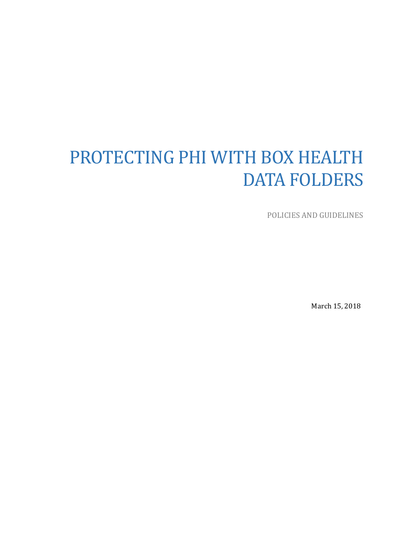# PROTECTING PHI WITH BOX HEALTH DATA FOLDERS

POLICIES AND GUIDELINES

March 15, 2018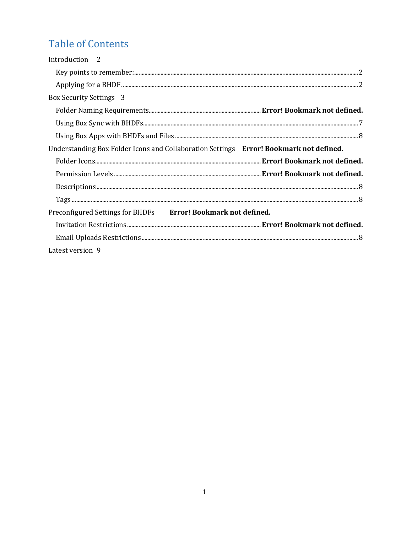# **Table of Contents**

| Introduction <sub>2</sub>                                                              |
|----------------------------------------------------------------------------------------|
|                                                                                        |
|                                                                                        |
| <b>Box Security Settings 3</b>                                                         |
|                                                                                        |
|                                                                                        |
|                                                                                        |
| Understanding Box Folder Icons and Collaboration Settings Error! Bookmark not defined. |
|                                                                                        |
|                                                                                        |
|                                                                                        |
|                                                                                        |
|                                                                                        |
| Preconfigured Settings for BHDFs Error! Bookmark not defined.                          |
|                                                                                        |
|                                                                                        |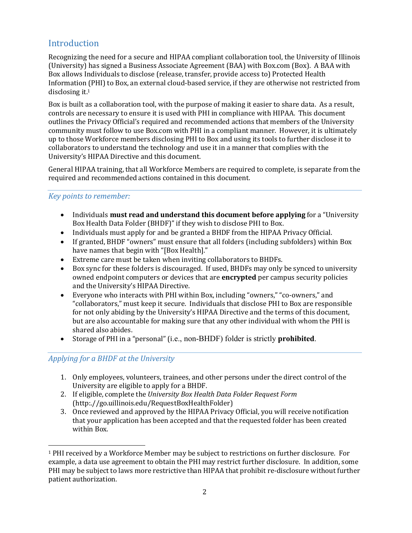### Introduction

Recognizing the need for a secure and HIPAA compliant collaboration tool, the University of Illinois (University) has signed a Business Associate Agreement (BAA) with Box.com (Box). A BAA with Box allows Individuals to disclose (release, transfer, provide access to) Protected Health Information (PHI) to Box, an external cloud-based service, if they are otherwise not restricted from disclosing it.1

Box is built as a collaboration tool, with the purpose of making it easier to share data. As a result, controls are necessary to ensure it is used with PHI in compliance with HIPAA. This document outlines the Privacy Official's required and recommended actions that members of the University community must follow to use Box.com with PHI in a compliant manner. However, it is ultimately up to those Workforce members disclosing PHI to Box and using its tools to further disclose it to collaborators to understand the technology and use it in a manner that complies with the University's HIPAA Directive and this document.

General HIPAA training, that all Workforce Members are required to complete, is separate from the required and recommended actions contained in this document.

#### *Key points to remember:*

- Individuals **must read and understand this document before applying** for a "University Box Health Data Folder (BHDF)" if they wish to disclose PHI to Box.
- Individuals must apply for and be granted a BHDF from the HIPAA Privacy Official.
- If granted, BHDF "owners" must ensure that all folders (including subfolders) within Box have names that begin with "[Box Health]."
- Extreme care must be taken when inviting collaborators to BHDFs.
- Box sync for these folders is discouraged. If used, BHDFs may only be synced to university owned endpoint computers or devices that are **encrypted** per campus security policies and the University's HIPAA Directive.
- Everyone who interacts with PHI within Box, including "owners," "co-owners," and "collaborators," must keep it secure. Individuals that disclose PHI to Box are responsible for not only abiding by the University's HIPAA Directive and the terms of this document, but are also accountable for making sure that any other individual with whom the PHI is shared also abides.
- Storage of PHI in a "personal" (i.e., non-BHDF) folder is strictly **prohibited**.

#### Applying for a BHDF at the University

 

- 1. Only employees, volunteers, trainees, and other persons under the direct control of the University are eligible to apply for a BHDF.
- 2. If eligible, complete the *University Box Health Data Folder Request Form* (http:.//go.uillinois.edu/RequestBoxHealthFolder)
- 3. Once reviewed and approved by the HIPAA Privacy Official, you will receive notification that your application has been accepted and that the requested folder has been created within Box.

<sup>&</sup>lt;sup>1</sup> PHI received by a Workforce Member may be subject to restrictions on further disclosure. For example, a data use agreement to obtain the PHI may restrict further disclosure. In addition, some PHI may be subject to laws more restrictive than HIPAA that prohibit re-disclosure without further patient authorization.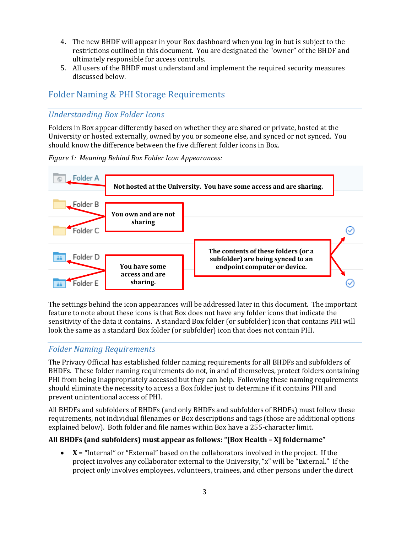- 4. The new BHDF will appear in your Box dashboard when you log in but is subject to the restrictions outlined in this document. You are designated the "owner" of the BHDF and ultimately responsible for access controls.
- 5. All users of the BHDF must understand and implement the required security measures discussed below.

#### Folder Naming & PHI Storage Requirements

#### *Understanding Box Folder Icons*

Folders in Box appear differently based on whether they are shared or private, hosted at the University or hosted externally, owned by you or someone else, and synced or not synced. You should know the difference between the five different folder icons in Box.

*Figure 1: Meaning Behind Box Folder Icon Appearances:* 



The settings behind the icon appearances will be addressed later in this document. The important feature to note about these icons is that Box does not have any folder icons that indicate the sensitivity of the data it contains. A standard Box folder (or subfolder) icon that contains PHI will look the same as a standard Box folder (or subfolder) icon that does not contain PHI.

#### *Folder Naming Requirements*

The Privacy Official has established folder naming requirements for all BHDFs and subfolders of BHDFs. These folder naming requirements do not, in and of themselves, protect folders containing PHI from being inappropriately accessed but they can help. Following these naming requirements should eliminate the necessity to access a Box folder just to determine if it contains PHI and prevent unintentional access of PHI.

All BHDFs and subfolders of BHDFs (and only BHDFs and subfolders of BHDFs) must follow these requirements, not individual filenames or Box descriptions and tags (those are additional options explained below). Both folder and file names within Box have a 255-character limit.

#### **All BHDFs (and subfolders) must appear as follows: "[Box Health – X] foldername"**

 $$ project involves any collaborator external to the University, "x" will be "External." If the project only involves employees, volunteers, trainees, and other persons under the direct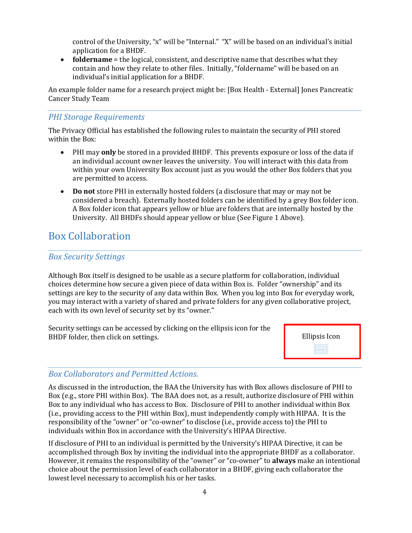control of the University, "x" will be "Internal." "X" will be based on an individual's initial application for a BHDF.

• **foldername** = the logical, consistent, and descriptive name that describes what they contain and how they relate to other files. Initially, "foldername" will be based on an individual's initial application for a BHDF.

An example folder name for a research project might be: [Box Health - External] Jones Pancreatic Cancer Study Team

#### *PHI* Storage Requirements

The Privacy Official has established the following rules to maintain the security of PHI stored within the Box:

- PHI may **only** be stored in a provided BHDF. This prevents exposure or loss of the data if an individual account owner leaves the university. You will interact with this data from within your own University Box account just as you would the other Box folders that you are permitted to access.
- **Do** not store PHI in externally hosted folders (a disclosure that may or may not be considered a breach). Externally hosted folders can be identified by a grey Box folder icon. A Box folder icon that appears yellow or blue are folders that are internally hosted by the University. All BHDFs should appear yellow or blue (See Figure 1 Above).

## Box Collaboration

#### *Box Security Settings*

Although Box itself is designed to be usable as a secure platform for collaboration, individual choices determine how secure a given piece of data within Box is. Folder "ownership" and its settings are key to the security of any data within Box. When you log into Box for everyday work, you may interact with a variety of shared and private folders for any given collaborative project, each with its own level of security set by its "owner."

Security settings can be accessed by clicking on the ellipsis icon for the BHDF folder, then click on settings.



#### *Box Collaborators and Permitted Actions.*

As discussed in the introduction, the BAA the University has with Box allows disclosure of PHI to Box (e.g., store PHI within Box). The BAA does not, as a result, authorize disclosure of PHI within Box to any individual who has access to Box. Disclosure of PHI to another individual within Box (i.e., providing access to the PHI within Box), must independently comply with HIPAA. It is the responsibility of the "owner" or "co-owner" to disclose (i.e., provide access to) the PHI to individuals within Box in accordance with the University's HIPAA Directive.

If disclosure of PHI to an individual is permitted by the University's HIPAA Directive, it can be accomplished through Box by inviting the individual into the appropriate BHDF as a collaborator. However, it remains the responsibility of the "owner" or "co-owner" to **always** make an intentional choice about the permission level of each collaborator in a BHDF, giving each collaborator the lowest level necessary to accomplish his or her tasks.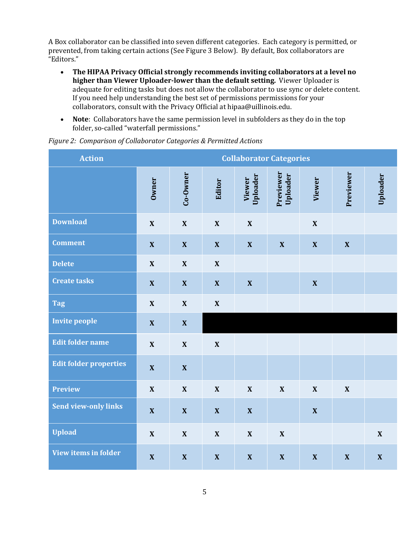A Box collaborator can be classified into seven different categories. Each category is permitted, or prevented, from taking certain actions (See Figure 3 Below). By default, Box collaborators are "Editors."

- The HIPAA Privacy Official strongly recommends inviting collaborators at a level no **higher than Viewer Uploader-lower than the default setting.** Viewer Uploader is adequate for editing tasks but does not allow the collaborator to use sync or delete content. If you need help understanding the best set of permissions permissions for your collaborators, consult with the Privacy Official at hipaa@uillinois.edu.
- **Note**: Collaborators have the same permission level in subfolders as they do in the top folder, so-called "waterfall permissions."

| <b>Action</b>                 | <b>Collaborator Categories</b> |                           |                           |                           |                           |                           |                           |                           |
|-------------------------------|--------------------------------|---------------------------|---------------------------|---------------------------|---------------------------|---------------------------|---------------------------|---------------------------|
|                               | Owner                          | Co-Owner                  | Editor                    | Uploader<br><b>Viewer</b> | Previewer<br>Uploader     | <b>Viewer</b>             | Previewer                 | Uploader                  |
| <b>Download</b>               | $\boldsymbol{\mathrm{X}}$      | $\mathbf X$               | $\boldsymbol{\mathrm{X}}$ | $\boldsymbol{\mathrm{X}}$ |                           | $\boldsymbol{\mathrm{X}}$ |                           |                           |
| <b>Comment</b>                | $\boldsymbol{\mathrm{X}}$      | $\boldsymbol{\mathrm{X}}$ | $\boldsymbol{\mathrm{X}}$ | $\boldsymbol{\mathrm{X}}$ | $\boldsymbol{\mathrm{X}}$ | $\boldsymbol{\mathrm{X}}$ | $\boldsymbol{\mathrm{X}}$ |                           |
| <b>Delete</b>                 | $\boldsymbol{\mathrm{X}}$      | $\boldsymbol{\mathrm{X}}$ | $\boldsymbol{\mathrm{X}}$ |                           |                           |                           |                           |                           |
| <b>Create tasks</b>           | $\boldsymbol{\mathrm{X}}$      | $\boldsymbol{\mathrm{X}}$ | $\boldsymbol{\mathrm{X}}$ | $\boldsymbol{\mathrm{X}}$ |                           | $\boldsymbol{\mathrm{X}}$ |                           |                           |
| <b>Tag</b>                    | $\mathbf X$                    | $\boldsymbol{\mathrm{X}}$ | $\boldsymbol{\mathrm{X}}$ |                           |                           |                           |                           |                           |
| <b>Invite people</b>          | $\mathbf X$                    | $\boldsymbol{\mathrm{X}}$ |                           |                           |                           |                           |                           |                           |
| <b>Edit folder name</b>       | $\boldsymbol{\mathrm{X}}$      | $\boldsymbol{\mathrm{X}}$ | $\boldsymbol{\mathrm{X}}$ |                           |                           |                           |                           |                           |
| <b>Edit folder properties</b> | $\boldsymbol{\mathrm{X}}$      | $\boldsymbol{\mathrm{X}}$ |                           |                           |                           |                           |                           |                           |
| <b>Preview</b>                | $\mathbf X$                    | $\mathbf X$               | $\mathbf X$               | $\mathbf X$               | $\boldsymbol{\mathrm{X}}$ | $\boldsymbol{\mathrm{X}}$ | $\boldsymbol{\mathrm{X}}$ |                           |
| <b>Send view-only links</b>   | $\boldsymbol{\mathrm{X}}$      | $\boldsymbol{\mathrm{X}}$ | $\boldsymbol{\mathrm{X}}$ | $\boldsymbol{\mathrm{X}}$ |                           | $\boldsymbol{\mathrm{X}}$ |                           |                           |
| <b>Upload</b>                 | $\boldsymbol{\mathrm{X}}$      | $\mathbf X$               | $\boldsymbol{\mathrm{X}}$ | $\mathbf X$               | $\boldsymbol{\mathrm{X}}$ |                           |                           | $\boldsymbol{\mathrm{X}}$ |
| View items in folder          | $\boldsymbol{\mathrm{X}}$      | $\mathbf X$               | $\boldsymbol{\mathrm{X}}$ | $\boldsymbol{\mathrm{X}}$ | $\boldsymbol{\mathrm{X}}$ | $\boldsymbol{\mathrm{X}}$ | $\boldsymbol{\mathrm{X}}$ | $\boldsymbol{\mathrm{X}}$ |

#### Figure 2: Comparison of Collaborator Categories & Permitted Actions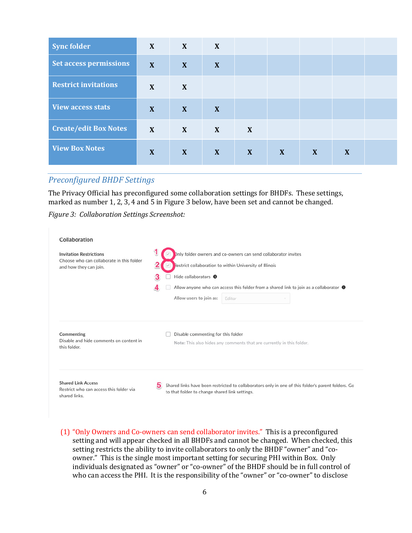| <b>Sync folder</b>           | X | X | X            |              |   |              |   |  |
|------------------------------|---|---|--------------|--------------|---|--------------|---|--|
| Set access permissions       | X | X | X            |              |   |              |   |  |
| <b>Restrict invitations</b>  | X | X |              |              |   |              |   |  |
| <b>View access stats</b>     | X | X | X            |              |   |              |   |  |
| <b>Create/edit Box Notes</b> | X | X | X            | X            |   |              |   |  |
| <b>View Box Notes</b>        | X | X | $\mathbf{X}$ | $\mathbf{X}$ | X | $\mathbf{X}$ | X |  |

#### *Preconfigured BHDF Settings*

The Privacy Official has preconfigured some collaboration settings for BHDFs. These settings, marked as number 1, 2, 3, 4 and 5 in Figure 3 below, have been set and cannot be changed.

*Figure 3: Collaboration Settings Screenshot:*

| Collaboration                                                                                         |                                                                                                                                                                                                                                                                                                          |
|-------------------------------------------------------------------------------------------------------|----------------------------------------------------------------------------------------------------------------------------------------------------------------------------------------------------------------------------------------------------------------------------------------------------------|
| <b>Invitation Restrictions</b><br>Choose who can collaborate in this folder<br>and how they can join. | Dnly folder owners and co-owners can send collaborator invites<br>Restrict collaboration to within University of Illinois<br>Hide collaborators <sup>O</sup><br>з<br>Allow anyone who can access this folder from a shared link to join as a collaborator $\bullet$<br>Allow users to join as:<br>Editor |
| Commenting<br>Disable and hide comments on content in<br>this folder.                                 | Disable commenting for this folder<br>Note: This also hides any comments that are currently in this folder.                                                                                                                                                                                              |
| <b>Shared Link Access</b><br>Restrict who can access this folder via<br>shared links.                 | 5<br>Shared links have been restricted to collaborators only in one of this folder's parent folders. Go<br>to that folder to change shared link settings.                                                                                                                                                |

(1) "Only Owners and Co-owners can send collaborator invites." This is a preconfigured setting and will appear checked in all BHDFs and cannot be changed. When checked, this setting restricts the ability to invite collaborators to only the BHDF "owner" and "coowner." This is the single most important setting for securing PHI within Box. Only individuals designated as "owner" or "co-owner" of the BHDF should be in full control of who can access the PHI. It is the responsibility of the "owner" or "co-owner" to disclose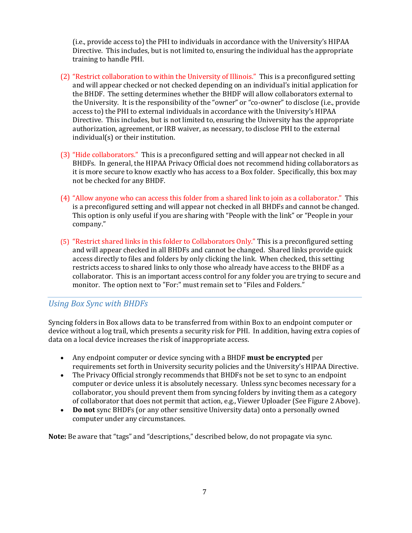(i.e., provide access to) the PHI to individuals in accordance with the University's HIPAA Directive. This includes, but is not limited to, ensuring the individual has the appropriate training to handle PHI.

- (2) "Restrict collaboration to within the University of Illinois." This is a preconfigured setting and will appear checked or not checked depending on an individual's initial application for the BHDF. The setting determines whether the BHDF will allow collaborators external to the University. It is the responsibility of the "owner" or "co-owner" to disclose (i.e., provide access to) the PHI to external individuals in accordance with the University's HIPAA Directive. This includes, but is not limited to, ensuring the University has the appropriate authorization, agreement, or IRB waiver, as necessary, to disclose PHI to the external  $individual(s)$  or their institution.
- (3) "Hide collaborators." This is a preconfigured setting and will appear not checked in all BHDFs. In general, the HIPAA Privacy Official does not recommend hiding collaborators as it is more secure to know exactly who has access to a Box folder. Specifically, this box may not be checked for any BHDF.
- (4) "Allow anyone who can access this folder from a shared link to join as a collaborator." This is a preconfigured setting and will appear not checked in all BHDFs and cannot be changed. This option is only useful if you are sharing with "People with the link" or "People in your company."
- $(5)$  "Restrict shared links in this folder to Collaborators Only." This is a preconfigured setting and will appear checked in all BHDFs and cannot be changed. Shared links provide quick access directly to files and folders by only clicking the link. When checked, this setting restricts access to shared links to only those who already have access to the BHDF as a collaborator. This is an important access control for any folder you are trying to secure and monitor. The option next to "For:" must remain set to "Files and Folders."

#### *Using Box Sync with BHDFs*

Syncing folders in Box allows data to be transferred from within Box to an endpoint computer or device without a log trail, which presents a security risk for PHI. In addition, having extra copies of data on a local device increases the risk of inappropriate access.

- Any endpoint computer or device syncing with a BHDF **must be encrypted** per requirements set forth in University security policies and the University's HIPAA Directive.
- The Privacy Official strongly recommends that BHDFs not be set to sync to an endpoint computer or device unless it is absolutely necessary. Unless sync becomes necessary for a collaborator, you should prevent them from syncing folders by inviting them as a category of collaborator that does not permit that action, e.g., Viewer Uploader (See Figure 2 Above).
- **Do not** sync BHDFs (or any other sensitive University data) onto a personally owned computer under any circumstances.

Note: Be aware that "tags" and "descriptions," described below, do not propagate via sync.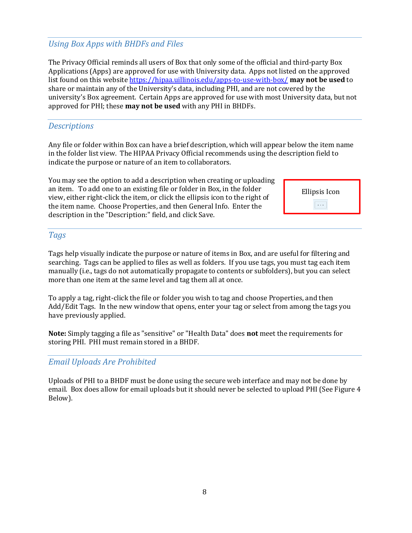#### *Using Box Apps with BHDFs and Files*

The Privacy Official reminds all users of Box that only some of the official and third-party Box Applications (Apps) are approved for use with University data. Apps not listed on the approved list found on this website https://hipaa.uillinois.edu/apps-to-use-with-box/ **may not be used** to share or maintain any of the University's data, including PHI, and are not covered by the university's Box agreement. Certain Apps are approved for use with most University data, but not approved for PHI; these **may not be used** with any PHI in BHDFs.

#### *Descriptions*

Any file or folder within Box can have a brief description, which will appear below the item name in the folder list view. The HIPAA Privacy Official recommends using the description field to indicate the purpose or nature of an item to collaborators.

You may see the option to add a description when creating or uploading an item. To add one to an existing file or folder in Box, in the folder view, either right-click the item, or click the ellipsis icon to the right of the item name. Choose Properties, and then General Info. Enter the description in the "Description:" field, and click Save.



#### *Tags*

Tags help visually indicate the purpose or nature of items in Box, and are useful for filtering and searching. Tags can be applied to files as well as folders. If you use tags, you must tag each item manually (i.e., tags do not automatically propagate to contents or subfolders), but you can select more than one item at the same level and tag them all at once.

To apply a tag, right-click the file or folder you wish to tag and choose Properties, and then Add/Edit Tags. In the new window that opens, enter your tag or select from among the tags you have previously applied.

**Note:** Simply tagging a file as "sensitive" or "Health Data" does **not** meet the requirements for storing PHI. PHI must remain stored in a BHDF.

#### *Email Uploads Are Prohibited*

Uploads of PHI to a BHDF must be done using the secure web interface and may not be done by email. Box does allow for email uploads but it should never be selected to upload PHI (See Figure 4 Below).